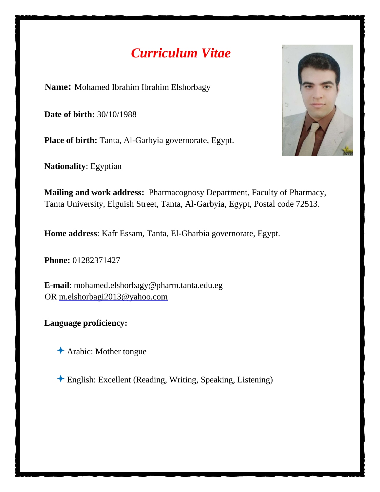# *Curriculum Vitae*

**Name:** Mohamed Ibrahim Ibrahim Elshorbagy

**Date of birth:** 30/10/1988

**Place of birth:** Tanta, Al-Garbyia governorate, Egypt.

**Nationality**: Egyptian



**Mailing and work address:** Pharmacognosy Department, Faculty of Pharmacy, Tanta University, Elguish Street, Tanta, Al-Garbyia, Egypt, Postal code 72513.

**Home address**: Kafr Essam, Tanta, El-Gharbia governorate, Egypt.

**Phone:** 01282371427

**E-mail**: mohamed.elshorbagy@pharm.tanta.edu.eg OR m.elshorbagi2013@yahoo.com

**Language proficiency:** 

Arabic: Mother tongue

English: Excellent (Reading, Writing, Speaking, Listening)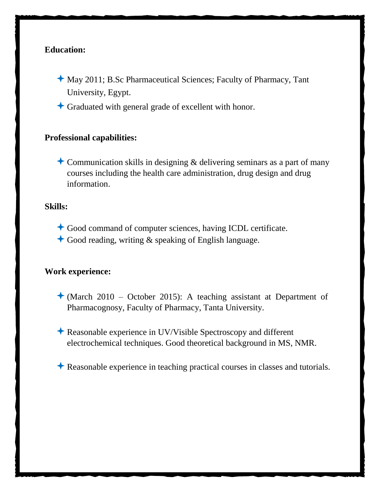## **Education:**

- May 2011; B.Sc Pharmaceutical Sciences; Faculty of Pharmacy, Tant University, Egypt.
- Graduated with general grade of excellent with honor.

## **Professional capabilities:**

**Communication skills in designing & delivering seminars as a part of many** courses including the health care administration, drug design and drug information.

### **Skills:**

- Good command of computer sciences, having ICDL certificate.
- $\triangle$  Good reading, writing & speaking of English language.

#### **Work experience:**

- $\triangle$  (March 2010 October 2015): A teaching assistant at Department of Pharmacognosy, Faculty of Pharmacy, Tanta University.
- Reasonable experience in UV/Visible Spectroscopy and different electrochemical techniques. Good theoretical background in MS, NMR.
- Reasonable experience in teaching practical courses in classes and tutorials.